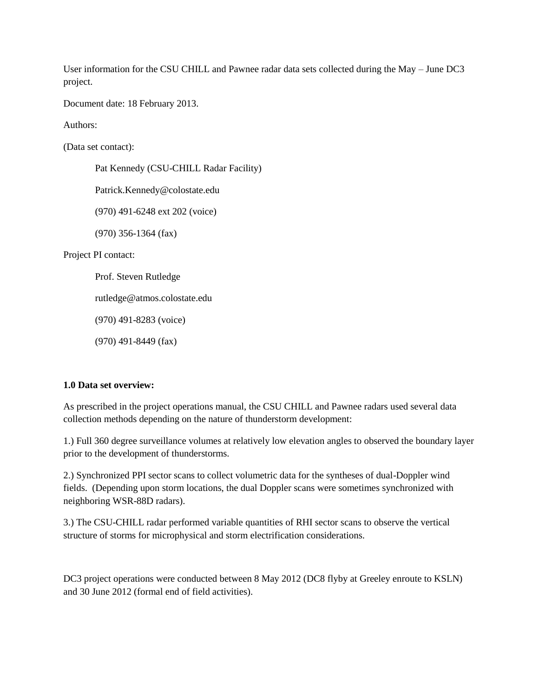User information for the CSU CHILL and Pawnee radar data sets collected during the May – June DC3 project.

Document date: 18 February 2013.

Authors:

(Data set contact):

Pat Kennedy (CSU-CHILL Radar Facility) Patrick.Kennedy@colostate.edu (970) 491-6248 ext 202 (voice) (970) 356-1364 (fax) Project PI contact: Prof. Steven Rutledge rutledge@atmos.colostate.edu (970) 491-8283 (voice) (970) 491-8449 (fax)

## **1.0 Data set overview:**

As prescribed in the project operations manual, the CSU CHILL and Pawnee radars used several data collection methods depending on the nature of thunderstorm development:

1.) Full 360 degree surveillance volumes at relatively low elevation angles to observed the boundary layer prior to the development of thunderstorms.

2.) Synchronized PPI sector scans to collect volumetric data for the syntheses of dual-Doppler wind fields. (Depending upon storm locations, the dual Doppler scans were sometimes synchronized with neighboring WSR-88D radars).

3.) The CSU-CHILL radar performed variable quantities of RHI sector scans to observe the vertical structure of storms for microphysical and storm electrification considerations.

DC3 project operations were conducted between 8 May 2012 (DC8 flyby at Greeley enroute to KSLN) and 30 June 2012 (formal end of field activities).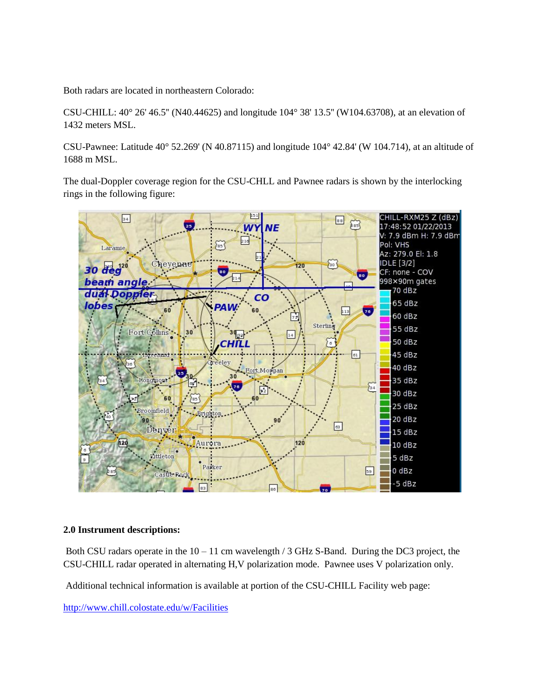Both radars are located in northeastern Colorado:

CSU-CHILL: 40° 26' 46.5'' (N40.44625) and longitude 104° 38' 13.5'' (W104.63708), at an elevation of 1432 meters MSL.

CSU-Pawnee: Latitude 40° 52.269' (N 40.87115) and longitude 104° 42.84' (W 104.714), at an altitude of 1688 m MSL.

The dual-Doppler coverage region for the CSU-CHLL and Pawnee radars is shown by the interlocking rings in the following figure:



### **2.0 Instrument descriptions:**

Both CSU radars operate in the  $10 - 11$  cm wavelength / 3 GHz S-Band. During the DC3 project, the CSU-CHILL radar operated in alternating H,V polarization mode. Pawnee uses V polarization only.

Additional technical information is available at portion of the CSU-CHILL Facility web page:

<http://www.chill.colostate.edu/w/Facilities>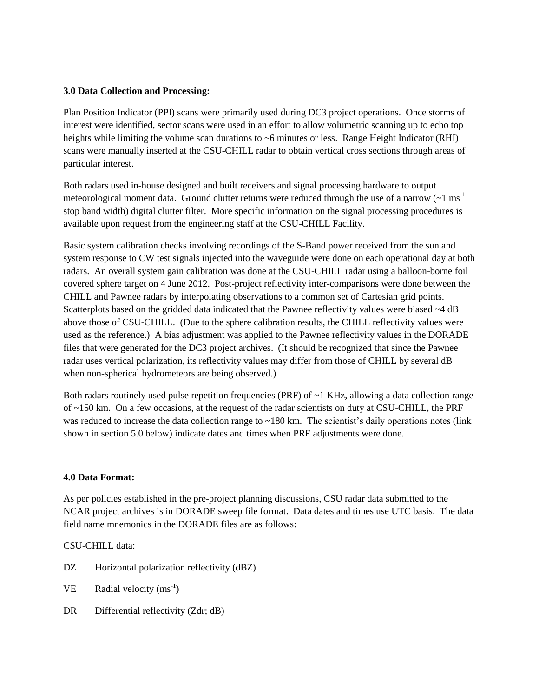### **3.0 Data Collection and Processing:**

Plan Position Indicator (PPI) scans were primarily used during DC3 project operations. Once storms of interest were identified, sector scans were used in an effort to allow volumetric scanning up to echo top heights while limiting the volume scan durations to ~6 minutes or less. Range Height Indicator (RHI) scans were manually inserted at the CSU-CHILL radar to obtain vertical cross sections through areas of particular interest.

Both radars used in-house designed and built receivers and signal processing hardware to output meteorological moment data. Ground clutter returns were reduced through the use of a narrow  $({\sim}1 \text{ ms}^{-1})$ stop band width) digital clutter filter. More specific information on the signal processing procedures is available upon request from the engineering staff at the CSU-CHILL Facility.

Basic system calibration checks involving recordings of the S-Band power received from the sun and system response to CW test signals injected into the waveguide were done on each operational day at both radars. An overall system gain calibration was done at the CSU-CHILL radar using a balloon-borne foil covered sphere target on 4 June 2012. Post-project reflectivity inter-comparisons were done between the CHILL and Pawnee radars by interpolating observations to a common set of Cartesian grid points. Scatterplots based on the gridded data indicated that the Pawnee reflectivity values were biased  $\sim$ 4 dB above those of CSU-CHILL. (Due to the sphere calibration results, the CHILL reflectivity values were used as the reference.) A bias adjustment was applied to the Pawnee reflectivity values in the DORADE files that were generated for the DC3 project archives. (It should be recognized that since the Pawnee radar uses vertical polarization, its reflectivity values may differ from those of CHILL by several dB when non-spherical hydrometeors are being observed.)

Both radars routinely used pulse repetition frequencies (PRF) of ~1 KHz, allowing a data collection range of ~150 km. On a few occasions, at the request of the radar scientists on duty at CSU-CHILL, the PRF was reduced to increase the data collection range to ~180 km. The scientist's daily operations notes (link shown in section 5.0 below) indicate dates and times when PRF adjustments were done.

## **4.0 Data Format:**

As per policies established in the pre-project planning discussions, CSU radar data submitted to the NCAR project archives is in DORADE sweep file format. Data dates and times use UTC basis. The data field name mnemonics in the DORADE files are as follows:

CSU-CHILL data:

- DZ Horizontal polarization reflectivity (dBZ)
- $VE$  Radial velocity (ms<sup>-1</sup>)
- DR Differential reflectivity (Zdr; dB)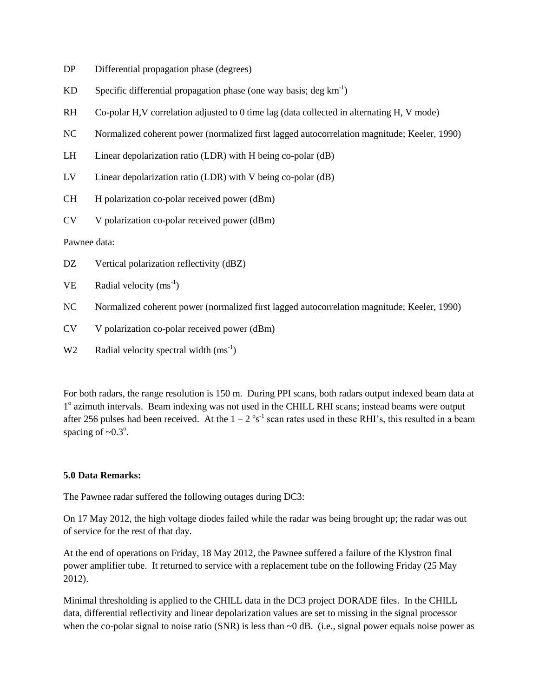- DP Differential propagation phase (degrees)
- KD Specific differential propagation phase (one way basis; deg  $km^{-1}$ )
- RH Co-polar H,V correlation adjusted to 0 time lag (data collected in alternating H, V mode)
- NC Normalized coherent power (normalized first lagged autocorrelation magnitude; Keeler, 1990)
- LH Linear depolarization ratio (LDR) with H being co-polar (dB)
- LV Linear depolarization ratio (LDR) with V being co-polar (dB)
- CH H polarization co-polar received power (dBm)
- CV V polarization co-polar received power (dBm)

Pawnee data:

- DZ Vertical polarization reflectivity (dBZ)
- $VE$  Radial velocity (ms<sup>-1</sup>)
- NC Normalized coherent power (normalized first lagged autocorrelation magnitude; Keeler, 1990)
- CV V polarization co-polar received power (dBm)
- W2 Radial velocity spectral width  $(ms^{-1})$

For both radars, the range resolution is 150 m. During PPI scans, both radars output indexed beam data at 1<sup>°</sup> azimuth intervals. Beam indexing was not used in the CHILL RHI scans; instead beams were output after 256 pulses had been received. At the  $1 - 2^{\circ} s^{-1}$  scan rates used in these RHI's, this resulted in a beam spacing of  $\sim 0.3^\circ$ .

### **5.0 Data Remarks:**

The Pawnee radar suffered the following outages during DC3:

On 17 May 2012, the high voltage diodes failed while the radar was being brought up; the radar was out of service for the rest of that day.

At the end of operations on Friday, 18 May 2012, the Pawnee suffered a failure of the Klystron final power amplifier tube. It returned to service with a replacement tube on the following Friday (25 May 2012).

Minimal thresholding is applied to the CHILL data in the DC3 project DORADE files. In the CHILL data, differential reflectivity and linear depolarization values are set to missing in the signal processor when the co-polar signal to noise ratio (SNR) is less than  $\sim 0$  dB. (i.e., signal power equals noise power as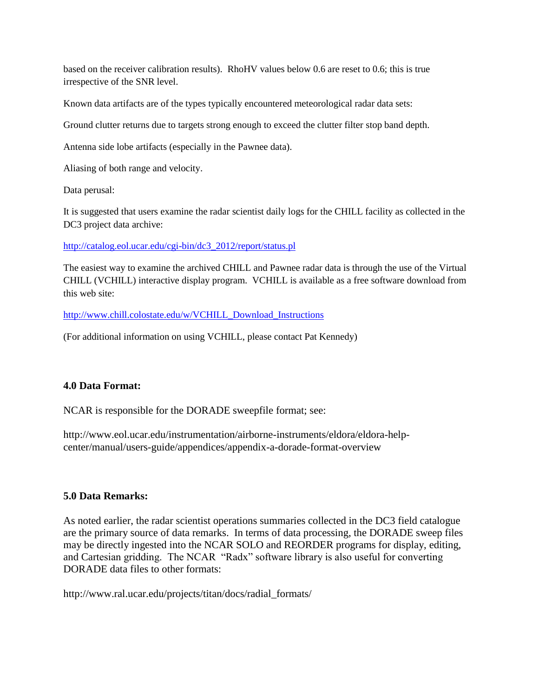based on the receiver calibration results). RhoHV values below 0.6 are reset to 0.6; this is true irrespective of the SNR level.

Known data artifacts are of the types typically encountered meteorological radar data sets:

Ground clutter returns due to targets strong enough to exceed the clutter filter stop band depth.

Antenna side lobe artifacts (especially in the Pawnee data).

Aliasing of both range and velocity.

Data perusal:

It is suggested that users examine the radar scientist daily logs for the CHILL facility as collected in the DC3 project data archive:

[http://catalog.eol.ucar.edu/cgi-bin/dc3\\_2012/report/status.pl](http://catalog.eol.ucar.edu/cgi-bin/dc3_2012/report/status.pl)

The easiest way to examine the archived CHILL and Pawnee radar data is through the use of the Virtual CHILL (VCHILL) interactive display program. VCHILL is available as a free software download from this web site:

[http://www.chill.colostate.edu/w/VCHILL\\_Download\\_Instructions](http://www.chill.colostate.edu/w/VCHILL_Download_Instructions)

(For additional information on using VCHILL, please contact Pat Kennedy)

## **4.0 Data Format:**

NCAR is responsible for the DORADE sweepfile format; see:

http://www.eol.ucar.edu/instrumentation/airborne-instruments/eldora/eldora-helpcenter/manual/users-guide/appendices/appendix-a-dorade-format-overview

## **5.0 Data Remarks:**

As noted earlier, the radar scientist operations summaries collected in the DC3 field catalogue are the primary source of data remarks. In terms of data processing, the DORADE sweep files may be directly ingested into the NCAR SOLO and REORDER programs for display, editing, and Cartesian gridding. The NCAR "Radx" software library is also useful for converting DORADE data files to other formats:

http://www.ral.ucar.edu/projects/titan/docs/radial\_formats/